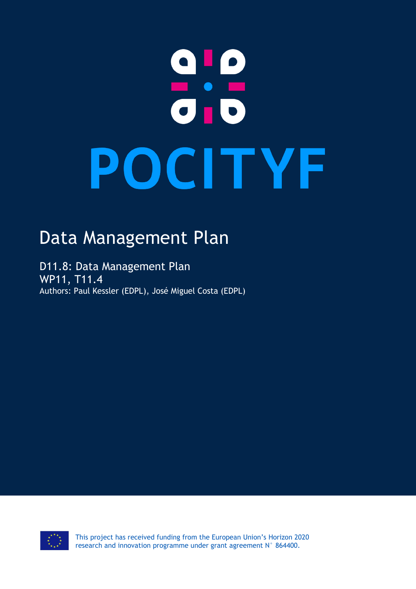# a ! P<br>0 : 5 POCITYF

# Data Management Plan

D11.8: Data Management Plan WP11, T11.4 Authors: Paul Kessler (EDPL), José Miguel Costa (EDPL)

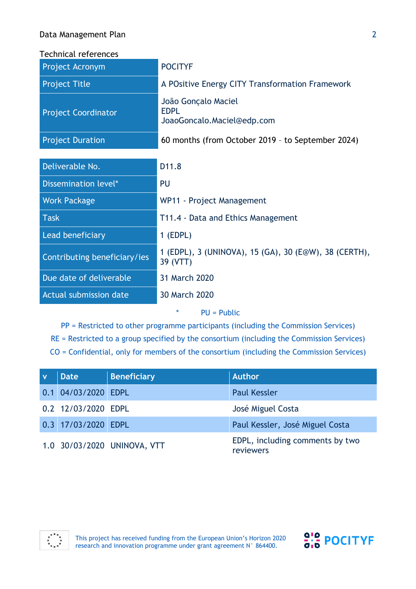#### Data Management Plan

Technical references

| Project Acronym              | <b>POCITYF</b>                                                    |
|------------------------------|-------------------------------------------------------------------|
| <b>Project Title</b>         | A POsitive Energy CITY Transformation Framework                   |
| <b>Project Coordinator</b>   | João Gonçalo Maciel<br><b>EDPL</b><br>JoaoGoncalo.Maciel@edp.com  |
| <b>Project Duration</b>      | 60 months (from October 2019 - to September 2024)                 |
|                              |                                                                   |
| Deliverable No.              | D <sub>11.8</sub>                                                 |
| Dissemination level*         | PU                                                                |
| <b>Work Package</b>          | WP11 - Project Management                                         |
| <b>Task</b>                  | T11.4 - Data and Ethics Management                                |
| Lead beneficiary             | $1$ (EDPL)                                                        |
| Contributing beneficiary/ies | 1 (EDPL), 3 (UNINOVA), 15 (GA), 30 (E@W), 38 (CERTH),<br>39 (VTT) |
| Due date of deliverable      | 31 March 2020                                                     |
| Actual submission date       | 30 March 2020                                                     |
|                              | ∗<br>$PU = Public$                                                |

PP = Restricted to other programme participants (including the Commission Services) RE = Restricted to a group specified by the consortium (including the Commission Services) CO = Confidential, only for members of the consortium (including the Commission Services)

| <b>Date</b>         | <b>Beneficiary</b>          | <b>Author</b>                                |
|---------------------|-----------------------------|----------------------------------------------|
| 0.1 04/03/2020 EDPL |                             | <b>Paul Kessler</b>                          |
| 0.2 12/03/2020 EDPL |                             | José Miguel Costa                            |
| 0.3 17/03/2020 EDPL |                             | Paul Kessler, José Miguel Costa              |
|                     | 1.0 30/03/2020 UNINOVA, VTT | EDPL, including comments by two<br>reviewers |



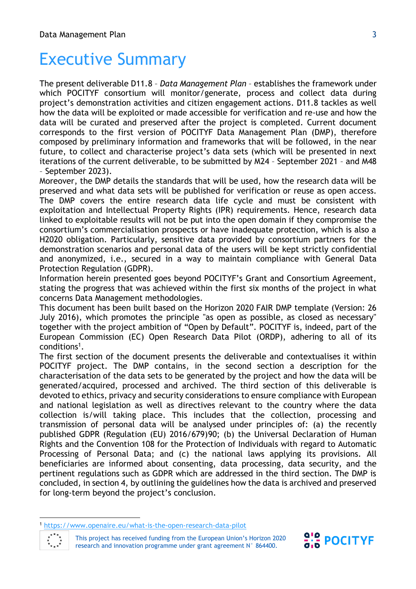## Executive Summary

The present deliverable D11.8 – *Data Management Plan* – establishes the framework under which POCITYF consortium will monitor/generate, process and collect data during project's demonstration activities and citizen engagement actions. D11.8 tackles as well how the data will be exploited or made accessible for verification and re-use and how the data will be curated and preserved after the project is completed. Current document corresponds to the first version of POCITYF Data Management Plan (DMP), therefore composed by preliminary information and frameworks that will be followed, in the near future, to collect and characterise project's data sets (which will be presented in next iterations of the current deliverable, to be submitted by M24 – September 2021 – and M48 – September 2023).

Moreover, the DMP details the standards that will be used, how the research data will be preserved and what data sets will be published for verification or reuse as open access. The DMP covers the entire research data life cycle and must be consistent with exploitation and Intellectual Property Rights (IPR) requirements. Hence, research data linked to exploitable results will not be put into the open domain if they compromise the consortium's commercialisation prospects or have inadequate protection, which is also a H2020 obligation. Particularly, sensitive data provided by consortium partners for the demonstration scenarios and personal data of the users will be kept strictly confidential and anonymized, i.e., secured in a way to maintain compliance with General Data Protection Regulation (GDPR).

Information herein presented goes beyond POCITYF's Grant and Consortium Agreement, stating the progress that was achieved within the first six months of the project in what concerns Data Management methodologies.

This document has been built based on the Horizon 2020 FAIR DMP template (Version: 26 July 2016), which promotes the principle "as open as possible, as closed as necessary" together with the project ambition of "Open by Default". POCITYF is, indeed, part of the European Commission (EC) Open Research Data Pilot (ORDP), adhering to all of its conditions<sup>1</sup>.

The first section of the document presents the deliverable and contextualises it within POCITYF project. The DMP contains, in the second section a description for the characterisation of the data sets to be generated by the project and how the data will be generated/acquired, processed and archived. The third section of this deliverable is devoted to ethics, privacy and security considerations to ensure compliance with European and national legislation as well as directives relevant to the country where the data collection is/will taking place. This includes that the collection, processing and transmission of personal data will be analysed under principles of: (a) the recently published GDPR (Regulation (EU) 2016/679)90; (b) the Universal Declaration of Human Rights and the Convention 108 for the Protection of Individuals with regard to Automatic Processing of Personal Data; and (c) the national laws applying its provisions. All beneficiaries are informed about consenting, data processing, data security, and the pertinent regulations such as GDPR which are addressed in the third section. The DMP is concluded, in section 4, by outlining the guidelines how the data is archived and preserved for long-term beyond the project's conclusion.

l





<sup>1</sup> <https://www.openaire.eu/what-is-the-open-research-data-pilot>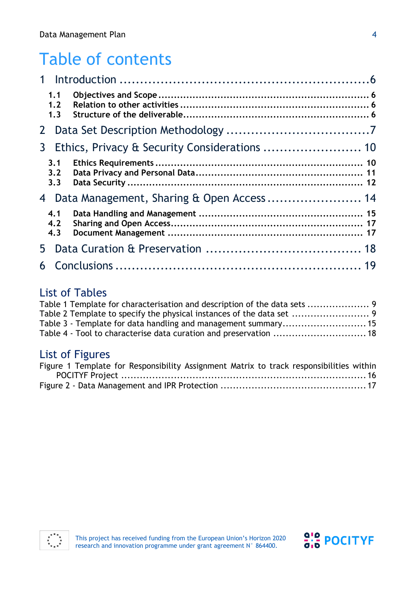## Table of contents

|                | 1.1<br>1.2<br>1.3 |  |
|----------------|-------------------|--|
| 2 <sup>1</sup> |                   |  |
| 3 <sup>1</sup> |                   |  |
|                | 3.1<br>3.2<br>3.3 |  |
| 4              |                   |  |
|                | 4.1<br>4.2<br>4.3 |  |
| 5.             |                   |  |
| 6              |                   |  |

## List of Tables

| Table 1 Template for characterisation and description of the data sets  9 |  |
|---------------------------------------------------------------------------|--|
|                                                                           |  |
|                                                                           |  |
| Table 4 - Tool to characterise data curation and preservation  18         |  |

## List of Figures

| Figure 1 Template for Responsibility Assignment Matrix to track responsibilities within |  |
|-----------------------------------------------------------------------------------------|--|
|                                                                                         |  |
|                                                                                         |  |

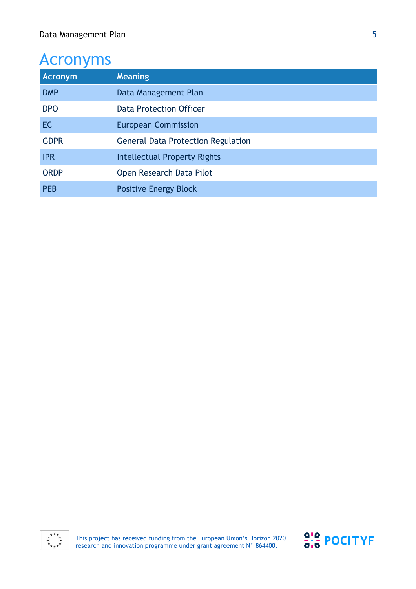## Acronyms

| <b>Acronym</b> | <b>Meaning</b>                            |
|----------------|-------------------------------------------|
| <b>DMP</b>     | Data Management Plan                      |
| <b>DPO</b>     | Data Protection Officer                   |
| <b>EC</b>      | <b>European Commission</b>                |
| <b>GDPR</b>    | <b>General Data Protection Regulation</b> |
| <b>IPR</b>     | <b>Intellectual Property Rights</b>       |
| <b>ORDP</b>    | Open Research Data Pilot                  |
| <b>PEB</b>     | <b>Positive Energy Block</b>              |



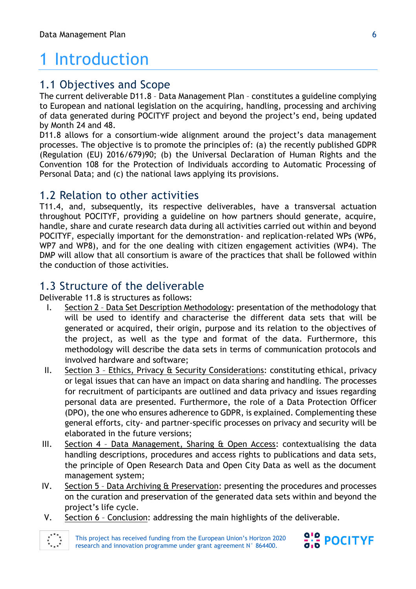# 1 Introduction

## 1.1 Objectives and Scope

The current deliverable D11.8 – Data Management Plan – constitutes a guideline complying to European and national legislation on the acquiring, handling, processing and archiving of data generated during POCITYF project and beyond the project's end, being updated by Month 24 and 48.

D11.8 allows for a consortium-wide alignment around the project's data management processes. The objective is to promote the principles of: (a) the recently published GDPR (Regulation (EU) 2016/679)90; (b) the Universal Declaration of Human Rights and the Convention 108 for the Protection of Individuals according to Automatic Processing of Personal Data; and (c) the national laws applying its provisions.

#### 1.2 Relation to other activities

T11.4, and, subsequently, its respective deliverables, have a transversal actuation throughout POCITYF, providing a guideline on how partners should generate, acquire, handle, share and curate research data during all activities carried out within and beyond POCITYF, especially important for the demonstration- and replication-related WPs (WP6, WP7 and WP8), and for the one dealing with citizen engagement activities (WP4). The DMP will allow that all consortium is aware of the practices that shall be followed within the conduction of those activities.

## 1.3 Structure of the deliverable

Deliverable 11.8 is structures as follows:

- I. Section 2 Data Set Description Methodology: presentation of the methodology that will be used to identify and characterise the different data sets that will be generated or acquired, their origin, purpose and its relation to the objectives of the project, as well as the type and format of the data. Furthermore, this methodology will describe the data sets in terms of communication protocols and involved hardware and software;
- II. Section 3 Ethics, Privacy & Security Considerations: constituting ethical, privacy or legal issues that can have an impact on data sharing and handling. The processes for recruitment of participants are outlined and data privacy and issues regarding personal data are presented. Furthermore, the role of a Data Protection Officer (DPO), the one who ensures adherence to GDPR, is explained. Complementing these general efforts, city- and partner-specific processes on privacy and security will be elaborated in the future versions;
- III. Section 4 Data Management, Sharing & Open Access: contextualising the data handling descriptions, procedures and access rights to publications and data sets, the principle of Open Research Data and Open City Data as well as the document management system;
- IV. Section 5 Data Archiving & Preservation: presenting the procedures and processes on the curation and preservation of the generated data sets within and beyond the project's life cycle.
- V. Section 6 Conclusion: addressing the main highlights of the deliverable.



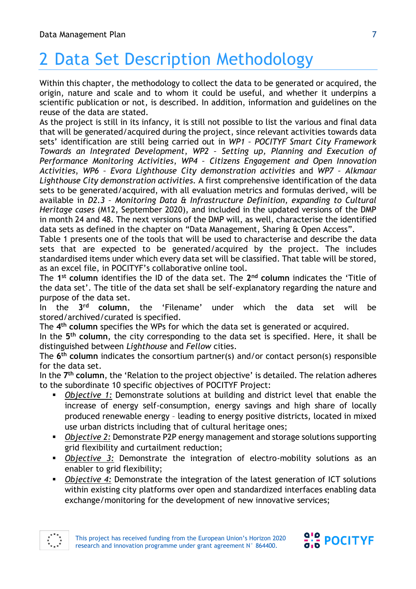# 2 Data Set Description Methodology

Within this chapter, the methodology to collect the data to be generated or acquired, the origin, nature and scale and to whom it could be useful, and whether it underpins a scientific publication or not, is described. In addition, information and guidelines on the reuse of the data are stated.

As the project is still in its infancy, it is still not possible to list the various and final data that will be generated/acquired during the project, since relevant activities towards data sets' identification are still being carried out in *WP1 – POCITYF Smart City Framework Towards an Integrated Development*, *WP2 – Setting up, Planning and Execution of Performance Monitoring Activities*, *WP4 – Citizens Engagement and Open Innovation Activities*, *WP6 – Evora Lighthouse City demonstration activities* and *WP7 – Alkmaar Lighthouse City demonstration activities.* A first comprehensive identification of the data sets to be generated/acquired, with all evaluation metrics and formulas derived, will be available in *D2.3 – Monitoring Data & Infrastructure Definition, expanding to Cultural Heritage cases* (M12, September 2020), and included in the updated versions of the DMP in month 24 and 48. The next versions of the DMP will, as well, characterise the identified data sets as defined in the chapter on "Data Management, Sharing & Open Access".

Table 1 presents one of the tools that will be used to characterise and describe the data sets that are expected to be generated/acquired by the project. The includes standardised items under which every data set will be classified. That table will be stored, as an excel file, in POCITYF's collaborative online tool.

The **1 st column** identifies the ID of the data set. The **2 nd column** indicates the 'Title of the data set'. The title of the data set shall be self-explanatory regarding the nature and purpose of the data set.

In the **3** the 'Filename' under which the data set will be stored/archived/curated is specified.

The **4 th column** specifies the WPs for which the data set is generated or acquired.

In the **5 th column**, the city corresponding to the data set is specified. Here, it shall be distinguished between *Lighthouse* and *Fellow* cities.

The **6 th column** indicates the consortium partner(s) and/or contact person(s) responsible for the data set.

In the **7 th column**, the 'Relation to the project objective' is detailed. The relation adheres to the subordinate 10 specific objectives of POCITYF Project:

- *Objective 1:* Demonstrate solutions at building and district level that enable the increase of energy self-consumption, energy savings and high share of locally produced renewable energy – leading to energy positive districts, located in mixed use urban districts including that of cultural heritage ones;
- *Objective 2:* Demonstrate P2P energy management and storage solutions supporting grid flexibility and curtailment reduction;
- *Objective 3:* Demonstrate the integration of electro-mobility solutions as an enabler to grid flexibility;
- **Objective 4: Demonstrate the integration of the latest generation of ICT solutions** within existing city platforms over open and standardized interfaces enabling data exchange/monitoring for the development of new innovative services;



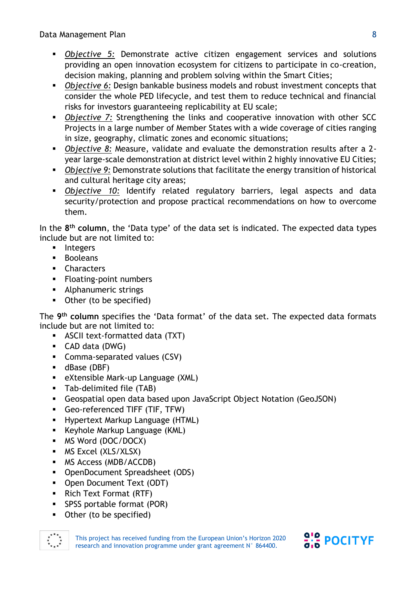Data Management Plan

- *Objective 5:* Demonstrate active citizen engagement services and solutions providing an open innovation ecosystem for citizens to participate in co-creation, decision making, planning and problem solving within the Smart Cities;
- *Objective 6:* Design bankable business models and robust investment concepts that consider the whole PED lifecycle, and test them to reduce technical and financial risks for investors guaranteeing replicability at EU scale;
- **Objective 7: Strengthening the links and cooperative innovation with other SCC** Projects in a large number of Member States with a wide coverage of cities ranging in size, geography, climatic zones and economic situations;
- *Objective 8:* Measure, validate and evaluate the demonstration results after a 2 year large-scale demonstration at district level within 2 highly innovative EU Cities;
- *Objective 9*: Demonstrate solutions that facilitate the energy transition of historical and cultural heritage city areas;
- *Objective 10:* Identify related regulatory barriers, legal aspects and data security/protection and propose practical recommendations on how to overcome them.

In the **8 th column**, the 'Data type' of the data set is indicated. The expected data types include but are not limited to:

- Integers
- Booleans
- Characters
- Floating-point numbers
- Alphanumeric strings
- Other (to be specified)

The **9 th column** specifies the 'Data format' of the data set. The expected data formats include but are not limited to:

- ASCII text-formatted data (TXT)
- CAD data (DWG)
- Comma-separated values (CSV)
- dBase (DBF)
- **EXtensible Mark-up Language (XML)**
- Tab-delimited file (TAB)
- Geospatial open data based upon JavaScript Object Notation (GeoJSON)
- Geo-referenced TIFF (TIF, TFW)
- Hypertext Markup Language (HTML)
- Keyhole Markup Language (KML)
- MS Word (DOC/DOCX)
- MS Excel (XLS/XLSX)
- MS Access (MDB/ACCDB)
- OpenDocument Spreadsheet (ODS)
- Open Document Text (ODT)
- Rich Text Format (RTF)
- SPSS portable format (POR)
- Other (to be specified)



This project has received funding from the European Union's Horizon 2020 research and innovation programme under grant agreement N° 864400.

 $\frac{9!}{9!6}$  POCITYF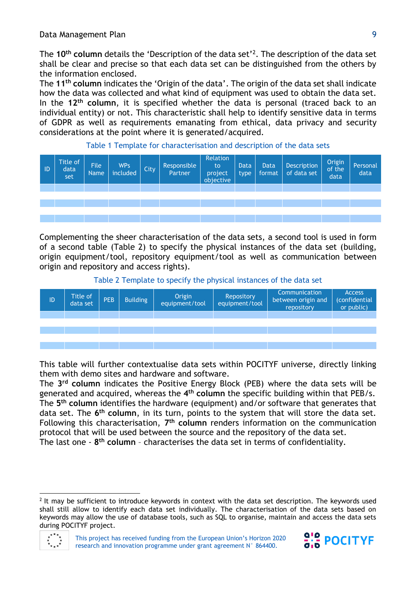The **10th column** details the 'Description of the data set'<sup>2</sup> . The description of the data set shall be clear and precise so that each data set can be distinguished from the others by the information enclosed.

The **11th column** indicates the 'Origin of the data'. The origin of the data set shall indicate how the data was collected and what kind of equipment was used to obtain the data set. In the **12th column**, it is specified whether the data is personal (traced back to an individual entity) or not. This characteristic shall help to identify sensitive data in terms of GDPR as well as requirements emanating from ethical, data privacy and security considerations at the point where it is generated/acquired.



Table 1 Template for characterisation and description of the data sets

Complementing the sheer characterisation of the data sets, a second tool is used in form of a second table (Table 2) to specify the physical instances of the data set (building, origin equipment/tool, repository equipment/tool as well as communication between origin and repository and access rights).

Table 2 Template to specify the physical instances of the data set

| ID | Title of<br>data set | PEB | <b>Building</b> | Origin<br>equipment/tool | Repository<br>equipment/tool | Communication<br>between origin and<br>repository | <b>Access</b><br>(confidential<br>or public) |
|----|----------------------|-----|-----------------|--------------------------|------------------------------|---------------------------------------------------|----------------------------------------------|
|    |                      |     |                 |                          |                              |                                                   |                                              |
|    |                      |     |                 |                          |                              |                                                   |                                              |
|    |                      |     |                 |                          |                              |                                                   |                                              |
|    |                      |     |                 |                          |                              |                                                   |                                              |
|    |                      |     |                 |                          |                              |                                                   |                                              |

This table will further contextualise data sets within POCITYF universe, directly linking them with demo sites and hardware and software.

The **3 rd column** indicates the Positive Energy Block (PEB) where the data sets will be generated and acquired, whereas the **4 th column** the specific building within that PEB/s. The **5 th column** identifies the hardware (equipment) and/or software that generates that data set. The **6 th column**, in its turn, points to the system that will store the data set. Following this characterisation, **7 th column** renders information on the communication protocol that will be used between the source and the repository of the data set. The last one - **8 th column** – characterises the data set in terms of confidentiality.

<sup>&</sup>lt;sup>2</sup> It may be sufficient to introduce keywords in context with the data set description. The keywords used shall still allow to identify each data set individually. The characterisation of the data sets based on keywords may allow the use of database tools, such as SQL to organise, maintain and access the data sets during POCITYF project.



l

This project has received funding from the European Union's Horizon 2020 research and innovation programme under grant agreement N° 864400.

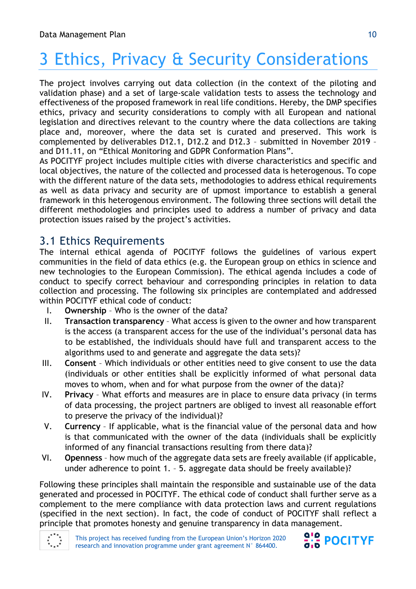# 3 Ethics, Privacy & Security Considerations

The project involves carrying out data collection (in the context of the piloting and validation phase) and a set of large-scale validation tests to assess the technology and effectiveness of the proposed framework in real life conditions. Hereby, the DMP specifies ethics, privacy and security considerations to comply with all European and national legislation and directives relevant to the country where the data collections are taking place and, moreover, where the data set is curated and preserved. This work is complemented by deliverables D12.1, D12.2 and D12.3 – submitted in November 2019 – and D11.11, on "Ethical Monitoring and GDPR Conformation Plans".

As POCITYF project includes multiple cities with diverse characteristics and specific and local objectives, the nature of the collected and processed data is heterogenous. To cope with the different nature of the data sets, methodologies to address ethical requirements as well as data privacy and security are of upmost importance to establish a general framework in this heterogenous environment. The following three sections will detail the different methodologies and principles used to address a number of privacy and data protection issues raised by the project's activities.

## 3.1 Ethics Requirements

The internal ethical agenda of POCITYF follows the guidelines of various expert communities in the field of data ethics (e.g. the European group on ethics in science and new technologies to the European Commission). The ethical agenda includes a code of conduct to specify correct behaviour and corresponding principles in relation to data collection and processing. The following six principles are contemplated and addressed within POCITYF ethical code of conduct:

- I. **Ownership** Who is the owner of the data?
- II. **Transaction transparency** What access is given to the owner and how transparent is the access (a transparent access for the use of the individual's personal data has to be established, the individuals should have full and transparent access to the algorithms used to and generate and aggregate the data sets)?
- III. **Consent**  Which individuals or other entities need to give consent to use the data (individuals or other entities shall be explicitly informed of what personal data moves to whom, when and for what purpose from the owner of the data)?
- IV. **Privacy**  What efforts and measures are in place to ensure data privacy (in terms of data processing, the project partners are obliged to invest all reasonable effort to preserve the privacy of the individual)?
- V. **Currency**  If applicable, what is the financial value of the personal data and how is that communicated with the owner of the data (individuals shall be explicitly informed of any financial transactions resulting from there data)?
- VI. **Openness**  how much of the aggregate data sets are freely available (if applicable, under adherence to point 1. – 5. aggregate data should be freely available)?

Following these principles shall maintain the responsible and sustainable use of the data generated and processed in POCITYF. The ethical code of conduct shall further serve as a complement to the mere compliance with data protection laws and current regulations (specified in the next section). In fact, the code of conduct of POCITYF shall reflect a principle that promotes honesty and genuine transparency in data management.



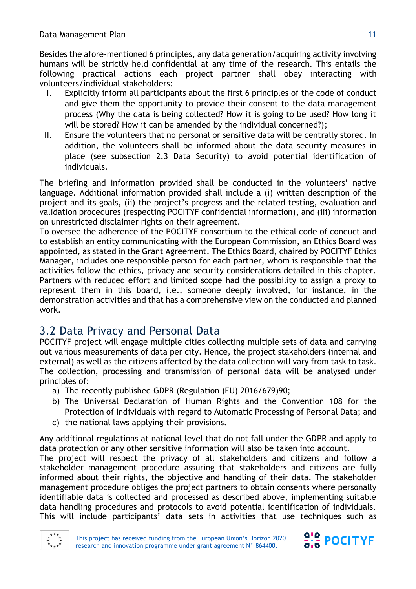Besides the afore-mentioned 6 principles, any data generation/acquiring activity involving humans will be strictly held confidential at any time of the research. This entails the following practical actions each project partner shall obey interacting with volunteers/individual stakeholders:

- I. Explicitly inform all participants about the first 6 principles of the code of conduct and give them the opportunity to provide their consent to the data management process (Why the data is being collected? How it is going to be used? How long it will be stored? How it can be amended by the individual concerned?);
- II. Ensure the volunteers that no personal or sensitive data will be centrally stored. In addition, the volunteers shall be informed about the data security measures in place (see subsection 2.3 Data Security) to avoid potential identification of individuals.

The briefing and information provided shall be conducted in the volunteers' native language. Additional information provided shall include a (i) written description of the project and its goals, (ii) the project's progress and the related testing, evaluation and validation procedures (respecting POCITYF confidential information), and (iii) information on unrestricted disclaimer rights on their agreement.

To oversee the adherence of the POCITYF consortium to the ethical code of conduct and to establish an entity communicating with the European Commission, an Ethics Board was appointed, as stated in the Grant Agreement. The Ethics Board, chaired by POCITYF Ethics Manager, includes one responsible person for each partner, whom is responsible that the activities follow the ethics, privacy and security considerations detailed in this chapter. Partners with reduced effort and limited scope had the possibility to assign a proxy to represent them in this board, i.e., someone deeply involved, for instance, in the demonstration activities and that has a comprehensive view on the conducted and planned work.

## 3.2 Data Privacy and Personal Data

POCITYF project will engage multiple cities collecting multiple sets of data and carrying out various measurements of data per city. Hence, the project stakeholders (internal and external) as well as the citizens affected by the data collection will vary from task to task. The collection, processing and transmission of personal data will be analysed under principles of:

- a) The recently published GDPR (Regulation (EU) 2016/679)90;
- b) The Universal Declaration of Human Rights and the Convention 108 for the Protection of Individuals with regard to Automatic Processing of Personal Data; and
- c) the national laws applying their provisions.

Any additional regulations at national level that do not fall under the GDPR and apply to data protection or any other sensitive information will also be taken into account.

The project will respect the privacy of all stakeholders and citizens and follow a stakeholder management procedure assuring that stakeholders and citizens are fully informed about their rights, the objective and handling of their data. The stakeholder management procedure obliges the project partners to obtain consents where personally identifiable data is collected and processed as described above, implementing suitable data handling procedures and protocols to avoid potential identification of individuals. This will include participants' data sets in activities that use techniques such as

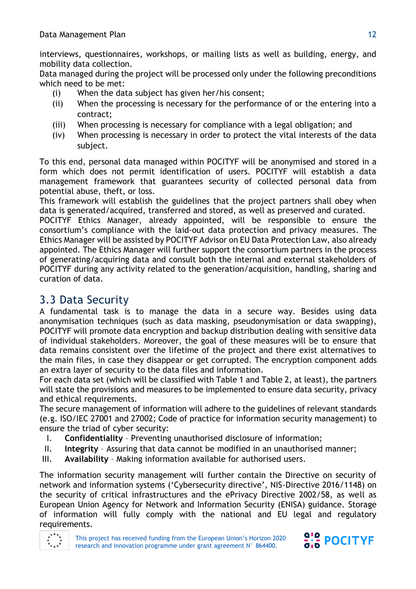interviews, questionnaires, workshops, or mailing lists as well as building, energy, and mobility data collection.

Data managed during the project will be processed only under the following preconditions which need to be met:

- (i) When the data subject has given her/his consent;
- (ii) When the processing is necessary for the performance of or the entering into a contract;
- (iii) When processing is necessary for compliance with a legal obligation; and
- (iv) When processing is necessary in order to protect the vital interests of the data subject.

To this end, personal data managed within POCITYF will be anonymised and stored in a form which does not permit identification of users. POCITYF will establish a data management framework that guarantees security of collected personal data from potential abuse, theft, or loss.

This framework will establish the guidelines that the project partners shall obey when data is generated/acquired, transferred and stored, as well as preserved and curated.

POCITYF Ethics Manager, already appointed, will be responsible to ensure the consortium's compliance with the laid-out data protection and privacy measures. The Ethics Manager will be assisted by POCITYF Advisor on EU Data Protection Law, also already appointed. The Ethics Manager will further support the consortium partners in the process of generating/acquiring data and consult both the internal and external stakeholders of POCITYF during any activity related to the generation/acquisition, handling, sharing and curation of data.

## 3.3 Data Security

A fundamental task is to manage the data in a secure way. Besides using data anonymisation techniques (such as data masking, pseudonymisation or data swapping), POCITYF will promote data encryption and backup distribution dealing with sensitive data of individual stakeholders. Moreover, the goal of these measures will be to ensure that data remains consistent over the lifetime of the project and there exist alternatives to the main files, in case they disappear or get corrupted. The encryption component adds an extra layer of security to the data files and information.

For each data set (which will be classified with Table 1 and Table 2, at least), the partners will state the provisions and measures to be implemented to ensure data security, privacy and ethical requirements.

The secure management of information will adhere to the guidelines of relevant standards (e.g. ISO/IEC 27001 and 27002; Code of practice for information security management) to ensure the triad of cyber security:

- I. **Confidentiality** Preventing unauthorised disclosure of information;
- II. **Integrity** Assuring that data cannot be modified in an unauthorised manner;
- III. **Availability** Making information available for authorised users.

The information security management will further contain the Directive on security of network and information systems ('Cybersecurity directive', NIS-Directive 2016/1148) on the security of critical infrastructures and the ePrivacy Directive 2002/58, as well as European Union Agency for Network and Information Security (ENISA) guidance. Storage of information will fully comply with the national and EU legal and regulatory requirements.



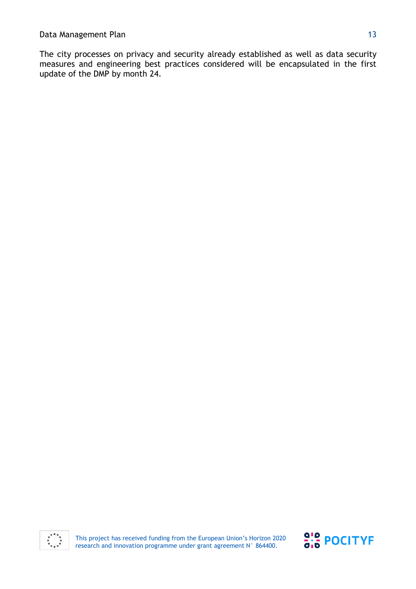The city processes on privacy and security already established as well as data security measures and engineering best practices considered will be encapsulated in the first update of the DMP by month 24.

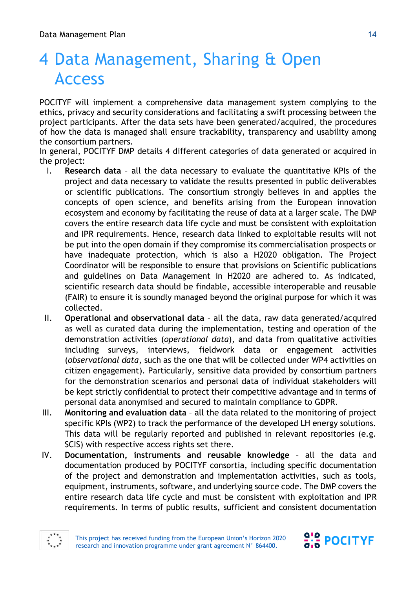# 4 Data Management, Sharing & Open Access

POCITYF will implement a comprehensive data management system complying to the ethics, privacy and security considerations and facilitating a swift processing between the project participants. After the data sets have been generated/acquired, the procedures of how the data is managed shall ensure trackability, transparency and usability among the consortium partners.

In general, POCITYF DMP details 4 different categories of data generated or acquired in the project:

- I. **Research data** all the data necessary to evaluate the quantitative KPIs of the project and data necessary to validate the results presented in public deliverables or scientific publications. The consortium strongly believes in and applies the concepts of open science, and benefits arising from the European innovation ecosystem and economy by facilitating the reuse of data at a larger scale. The DMP covers the entire research data life cycle and must be consistent with exploitation and IPR requirements. Hence, research data linked to exploitable results will not be put into the open domain if they compromise its commercialisation prospects or have inadequate protection, which is also a H2020 obligation. The Project Coordinator will be responsible to ensure that provisions on Scientific publications and guidelines on Data Management in H2020 are adhered to. As indicated, scientific research data should be findable, accessible interoperable and reusable (FAIR) to ensure it is soundly managed beyond the original purpose for which it was collected.
- II. **Operational and observational data** all the data, raw data generated/acquired as well as curated data during the implementation, testing and operation of the demonstration activities (*operational data*), and data from qualitative activities including surveys, interviews, fieldwork data or engagement activities (*observational data*, such as the one that will be collected under WP4 activities on citizen engagement). Particularly, sensitive data provided by consortium partners for the demonstration scenarios and personal data of individual stakeholders will be kept strictly confidential to protect their competitive advantage and in terms of personal data anonymised and secured to maintain compliance to GDPR.
- III. **Monitoring and evaluation data** all the data related to the monitoring of project specific KPIs (WP2) to track the performance of the developed LH energy solutions. This data will be regularly reported and published in relevant repositories (e.g. SCIS) with respective access rights set there.
- IV. **Documentation, instruments and reusable knowledge** all the data and documentation produced by POCITYF consortia, including specific documentation of the project and demonstration and implementation activities, such as tools, equipment, instruments, software, and underlying source code. The DMP covers the entire research data life cycle and must be consistent with exploitation and IPR requirements. In terms of public results, sufficient and consistent documentation



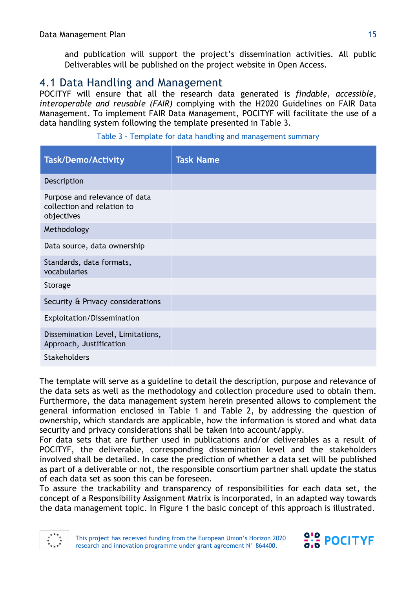and publication will support the project's dissemination activities. All public Deliverables will be published on the project website in Open Access.

## 4.1 Data Handling and Management

POCITYF will ensure that all the research data generated is *findable, accessible, interoperable and reusable (FAIR)* complying with the H2020 Guidelines on FAIR Data Management. To implement FAIR Data Management, POCITYF will facilitate the use of a data handling system following the template presented in Table 3.

| <b>Task/Demo/Activity</b>                                                 | <b>Task Name</b> |
|---------------------------------------------------------------------------|------------------|
| Description                                                               |                  |
| Purpose and relevance of data<br>collection and relation to<br>objectives |                  |
| Methodology                                                               |                  |
| Data source, data ownership                                               |                  |
| Standards, data formats,<br>vocabularies                                  |                  |
| Storage                                                                   |                  |
| Security & Privacy considerations                                         |                  |
| Exploitation/Dissemination                                                |                  |
| Dissemination Level, Limitations,<br>Approach, Justification              |                  |
| <b>Stakeholders</b>                                                       |                  |

Table 3 - Template for data handling and management summary

The template will serve as a guideline to detail the description, purpose and relevance of the data sets as well as the methodology and collection procedure used to obtain them. Furthermore, the data management system herein presented allows to complement the general information enclosed in Table 1 and Table 2, by addressing the question of ownership, which standards are applicable, how the information is stored and what data security and privacy considerations shall be taken into account/apply.

For data sets that are further used in publications and/or deliverables as a result of POCITYF, the deliverable, corresponding dissemination level and the stakeholders involved shall be detailed. In case the prediction of whether a data set will be published as part of a deliverable or not, the responsible consortium partner shall update the status of each data set as soon this can be foreseen.

To assure the trackability and transparency of responsibilities for each data set, the concept of a Responsibility Assignment Matrix is incorporated, in an adapted way towards the data management topic. In Figure 1 the basic concept of this approach is illustrated.



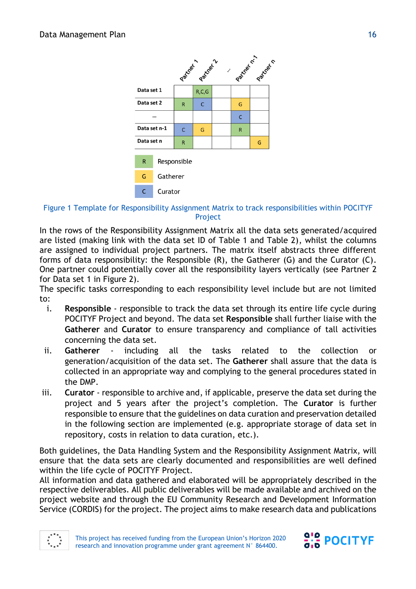

#### Figure 1 Template for Responsibility Assignment Matrix to track responsibilities within POCITYF Project

In the rows of the Responsibility Assignment Matrix all the data sets generated/acquired are listed (making link with the data set ID of Table 1 and Table 2), whilst the columns are assigned to individual project partners. The matrix itself abstracts three different forms of data responsibility: the Responsible (R), the Gatherer (G) and the Curator (C). One partner could potentially cover all the responsibility layers vertically (see Partner 2 for Data set 1 in Figure 2).

The specific tasks corresponding to each responsibility level include but are not limited to:

- i. **Responsible** responsible to track the data set through its entire life cycle during POCITYF Project and beyond. The data set **Responsible** shall further liaise with the **Gatherer** and **Curator** to ensure transparency and compliance of tall activities concerning the data set.
- ii. **Gatherer** including all the tasks related to the collection or generation/acquisition of the data set. The **Gatherer** shall assure that the data is collected in an appropriate way and complying to the general procedures stated in the DMP.
- iii. **Curator** responsible to archive and, if applicable, preserve the data set during the project and 5 years after the project's completion. The **Curator** is further responsible to ensure that the guidelines on data curation and preservation detailed in the following section are implemented (e.g. appropriate storage of data set in repository, costs in relation to data curation, etc.).

Both guidelines, the Data Handling System and the Responsibility Assignment Matrix, will ensure that the data sets are clearly documented and responsibilities are well defined within the life cycle of POCITYF Project.

All information and data gathered and elaborated will be appropriately described in the respective deliverables. All public deliverables will be made available and archived on the project website and through the EU Community Research and Development Information Service (CORDIS) for the project. The project aims to make research data and publications



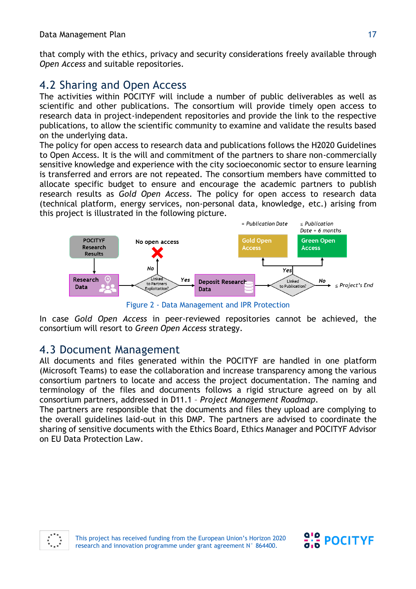that comply with the ethics, privacy and security considerations freely available through *Open Access* and suitable repositories.

## 4.2 Sharing and Open Access

The activities within POCITYF will include a number of public deliverables as well as scientific and other publications. The consortium will provide timely open access to research data in project-independent repositories and provide the link to the respective publications, to allow the scientific community to examine and validate the results based on the underlying data.

The policy for open access to research data and publications follows the H2020 Guidelines to Open Access. It is the will and commitment of the partners to share non-commercially sensitive knowledge and experience with the city socioeconomic sector to ensure learning is transferred and errors are not repeated. The consortium members have committed to allocate specific budget to ensure and encourage the academic partners to publish research results as *Gold Open Access*. The policy for open access to research data (technical platform, energy services, non-personal data, knowledge, etc.) arising from this project is illustrated in the following picture.



Figure 2 - Data Management and IPR Protection

In case *Gold Open Access* in peer-reviewed repositories cannot be achieved, the consortium will resort to *Green Open Access* strategy.

## 4.3 Document Management

All documents and files generated within the POCITYF are handled in one platform (Microsoft Teams) to ease the collaboration and increase transparency among the various consortium partners to locate and access the project documentation. The naming and terminology of the files and documents follows a rigid structure agreed on by all consortium partners, addressed in D11.1 – *Project Management Roadmap*.

The partners are responsible that the documents and files they upload are complying to the overall guidelines laid-out in this DMP. The partners are advised to coordinate the sharing of sensitive documents with the Ethics Board, Ethics Manager and POCITYF Advisor on EU Data Protection Law.



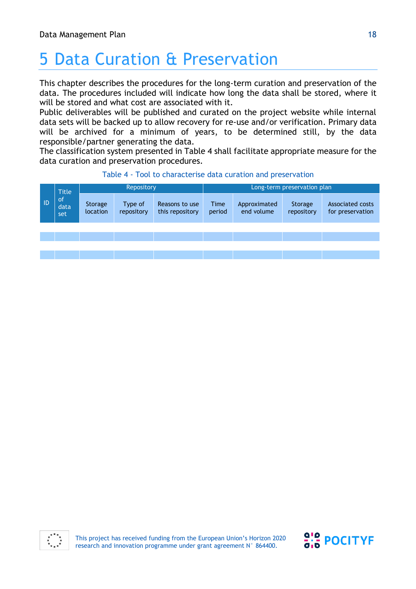# 5 Data Curation & Preservation

This chapter describes the procedures for the long-term curation and preservation of the data. The procedures included will indicate how long the data shall be stored, where it will be stored and what cost are associated with it.

Public deliverables will be published and curated on the project website while internal data sets will be backed up to allow recovery for re-use and/or verification. Primary data will be archived for a minimum of years, to be determined still, by the data responsible/partner generating the data.

The classification system presented in Table 4 shall facilitate appropriate measure for the data curation and preservation procedures.

|    | <b>Title</b>                 | Repository          |                       |                                   | Long-term preservation plan |                            |                       |                                             |
|----|------------------------------|---------------------|-----------------------|-----------------------------------|-----------------------------|----------------------------|-----------------------|---------------------------------------------|
| ID | <sub>of</sub><br>data<br>set | Storage<br>location | Type of<br>repository | Reasons to use<br>this repository | <b>Time</b><br>period       | Approximated<br>end volume | Storage<br>repository | <b>Associated costs</b><br>for preservation |
|    |                              |                     |                       |                                   |                             |                            |                       |                                             |
|    |                              |                     |                       |                                   |                             |                            |                       |                                             |
|    |                              |                     |                       |                                   |                             |                            |                       |                                             |
|    |                              |                     |                       |                                   |                             |                            |                       |                                             |

#### Table 4 - Tool to characterise data curation and preservation